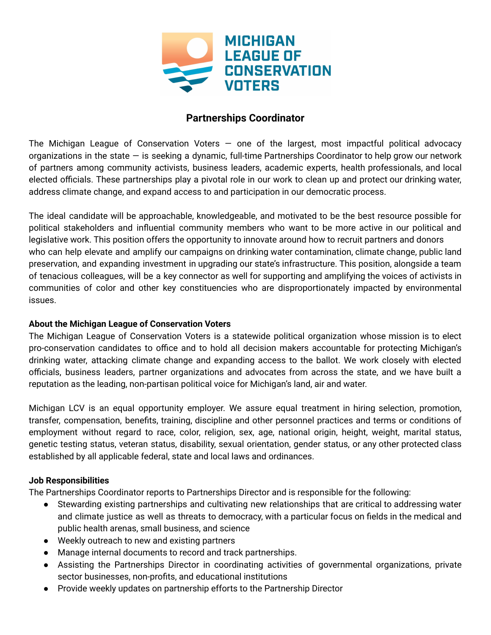

# **Partnerships Coordinator**

The Michigan League of Conservation Voters  $-$  one of the largest, most impactful political advocacy organizations in the state — is seeking a dynamic, full-time Partnerships Coordinator to help grow our network of partners among community activists, business leaders, academic experts, health professionals, and local elected officials. These partnerships play a pivotal role in our work to clean up and protect our drinking water, address climate change, and expand access to and participation in our democratic process.

The ideal candidate will be approachable, knowledgeable, and motivated to be the best resource possible for political stakeholders and influential community members who want to be more active in our political and legislative work. This position offers the opportunity to innovate around how to recruit partners and donors who can help elevate and amplify our campaigns on drinking water contamination, climate change, public land preservation, and expanding investment in upgrading our state's infrastructure. This position, alongside a team of tenacious colleagues, will be a key connector as well for supporting and amplifying the voices of activists in communities of color and other key constituencies who are disproportionately impacted by environmental issues.

## **About the Michigan League of Conservation Voters**

The Michigan League of Conservation Voters is a statewide political organization whose mission is to elect pro-conservation candidates to office and to hold all decision makers accountable for protecting Michigan's drinking water, attacking climate change and expanding access to the ballot. We work closely with elected officials, business leaders, partner organizations and advocates from across the state, and we have built a reputation as the leading, non-partisan political voice for Michigan's land, air and water.

Michigan LCV is an equal opportunity employer. We assure equal treatment in hiring selection, promotion, transfer, compensation, benefits, training, discipline and other personnel practices and terms or conditions of employment without regard to race, color, religion, sex, age, national origin, height, weight, marital status, genetic testing status, veteran status, disability, sexual orientation, gender status, or any other protected class established by all applicable federal, state and local laws and ordinances.

## **Job Responsibilities**

The Partnerships Coordinator reports to Partnerships Director and is responsible for the following:

- Stewarding existing partnerships and cultivating new relationships that are critical to addressing water and climate justice as well as threats to democracy, with a particular focus on fields in the medical and public health arenas, small business, and science
- Weekly outreach to new and existing partners
- Manage internal documents to record and track partnerships.
- Assisting the Partnerships Director in coordinating activities of governmental organizations, private sector businesses, non-profits, and educational institutions
- Provide weekly updates on partnership efforts to the Partnership Director